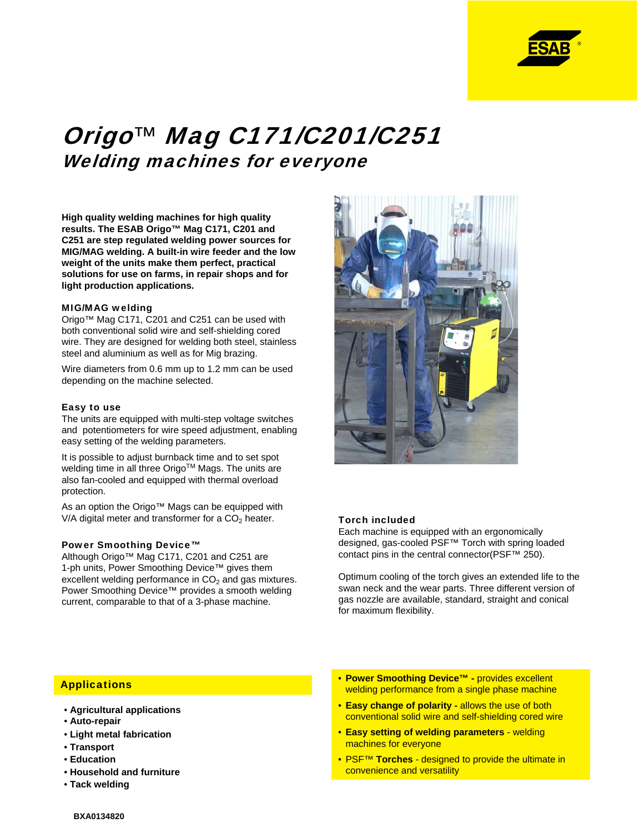

# Origo*™* Mag C171/C201/C251 Welding machines for everyone

**High quality welding machines for high quality results. The ESAB Origo™ Mag C171, C201 and C251 are step regulated welding power sources for MIG/MAG welding. A built-in wire feeder and the low weight of the units make them perfect, practical solutions for use on farms, in repair shops and for light production applications.**

#### MIG/MAG welding

Origo™ Mag C171, C201 and C251 can be used with both conventional solid wire and self-shielding cored wire. They are designed for welding both steel, stainless steel and aluminium as well as for Mig brazing.

Wire diameters from 0.6 mm up to 1.2 mm can be used depending on the machine selected.

#### Easy to use

The units are equipped with multi-step voltage switches and potentiometers for wire speed adjustment, enabling easy setting of the welding parameters.

It is possible to adjust burnback time and to set spot welding time in all three Origo™ Mags. The units are also fan-cooled and equipped with thermal overload protection.

As an option the Origo™ Mags can be equipped with V/A digital meter and transformer for a  $CO<sub>2</sub>$  heater.

## Power Smoothing Device™

Although Origo™ Mag C171, C201 and C251 are 1-ph units, Power Smoothing Device™ gives them excellent welding performance in  $CO<sub>2</sub>$  and gas mixtures. Power Smoothing Device™ provides a smooth welding current, comparable to that of a 3-phase machine.



#### Torch included

Each machine is equipped with an ergonomically designed, gas-cooled PSF™ Torch with spring loaded contact pins in the central connector(PSF™ 250).

Optimum cooling of the torch gives an extended life to the swan neck and the wear parts. Three different version of gas nozzle are available, standard, straight and conical for maximum flexibility.

#### **Applications**

- **Agricultural applications**
- **Auto-repair**
- **Light metal fabrication**
- **Transport**
- **Education**
- **Household and furniture**
- **Tack welding**
- **Power Smoothing Device™ -** provides excellent welding performance from a single phase machine
- **Easy change of polarity -** allows the use of both conventional solid wire and self-shielding cored wire
- **Easy setting of welding parameters** welding machines for everyone
- PSF™ **Torches** designed to provide the ultimate in convenience and versatility